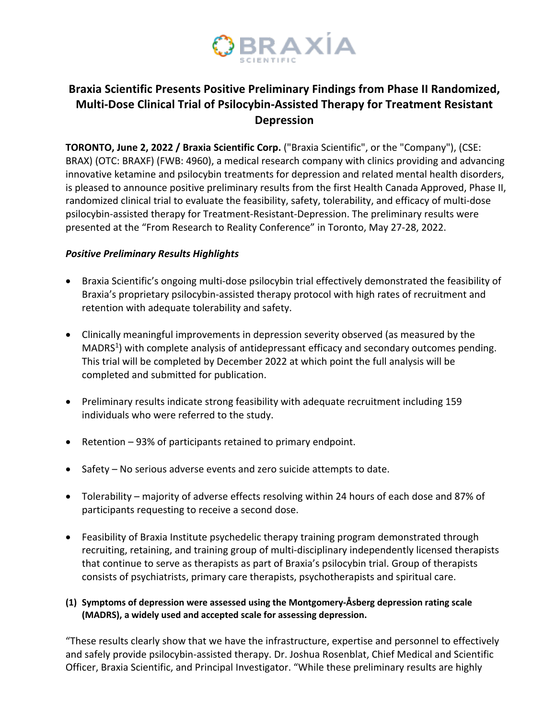

# **Braxia Scientific Presents Positive Preliminary Findings from Phase II Randomized, Multi-Dose Clinical Trial of Psilocybin-Assisted Therapy for Treatment Resistant Depression**

**TORONTO, June 2, 2022 / Braxia Scientific Corp.** ("Braxia Scientific", or the "Company"), (CSE: BRAX) (OTC: BRAXF) (FWB: 4960), a medical research company with clinics providing and advancing innovative ketamine and psilocybin treatments for depression and related mental health disorders, is pleased to announce positive preliminary results from the first Health Canada Approved, Phase II, randomized clinical trial to evaluate the feasibility, safety, tolerability, and efficacy of multi-dose psilocybin-assisted therapy for Treatment-Resistant-Depression. The preliminary results were presented at the "From Research to Reality Conference" in Toronto, May 27-28, 2022.

## *Positive Preliminary Results Highlights*

- Braxia Scientific's ongoing multi-dose psilocybin trial effectively demonstrated the feasibility of Braxia's proprietary psilocybin-assisted therapy protocol with high rates of recruitment and retention with adequate tolerability and safety.
- Clinically meaningful improvements in depression severity observed (as measured by the MADRS<sup>1</sup>) with complete analysis of antidepressant efficacy and secondary outcomes pending. This trial will be completed by December 2022 at which point the full analysis will be completed and submitted for publication.
- Preliminary results indicate strong feasibility with adequate recruitment including 159 individuals who were referred to the study.
- Retention 93% of participants retained to primary endpoint.
- Safety No serious adverse events and zero suicide attempts to date.
- Tolerability majority of adverse effects resolving within 24 hours of each dose and 87% of participants requesting to receive a second dose.
- Feasibility of Braxia Institute psychedelic therapy training program demonstrated through recruiting, retaining, and training group of multi-disciplinary independently licensed therapists that continue to serve as therapists as part of Braxia's psilocybin trial. Group of therapists consists of psychiatrists, primary care therapists, psychotherapists and spiritual care.
- **(1) Symptoms of depression were assessed using the Montgomery-Åsberg depression rating scale (MADRS), a widely used and accepted scale for assessing depression.**

"These results clearly show that we have the infrastructure, expertise and personnel to effectively and safely provide psilocybin-assisted therapy. Dr. Joshua Rosenblat, Chief Medical and Scientific Officer, Braxia Scientific, and Principal Investigator. "While these preliminary results are highly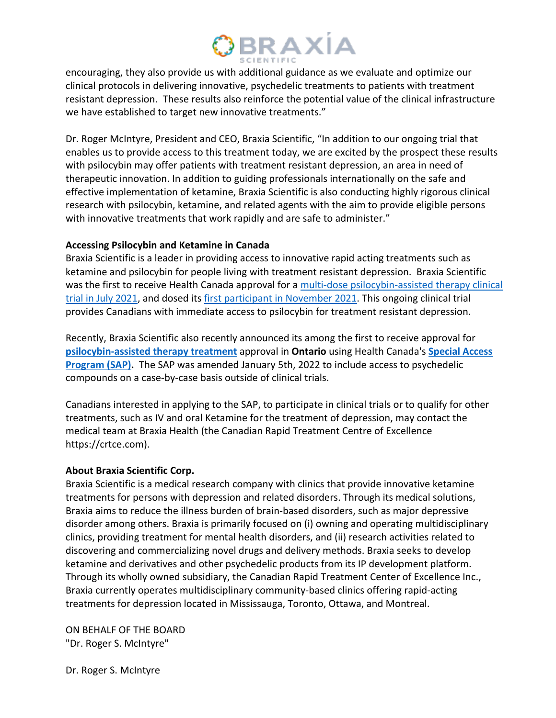# **BRAXÍA**

encouraging, they also provide us with additional guidance as we evaluate and optimize our clinical protocols in delivering innovative, psychedelic treatments to patients with treatment resistant depression. These results also reinforce the potential value of the clinical infrastructure we have established to target new innovative treatments."

Dr. Roger McIntyre, President and CEO, Braxia Scientific, "In addition to our ongoing trial that enables us to provide access to this treatment today, we are excited by the prospect these results with psilocybin may offer patients with treatment resistant depression, an area in need of therapeutic innovation. In addition to guiding professionals internationally on the safe and effective implementation of ketamine, Braxia Scientific is also conducting highly rigorous clinical research with psilocybin, ketamine, and related agents with the aim to provide eligible persons with innovative treatments that work rapidly and are safe to administer."

### **Accessing Psilocybin and Ketamine in Canada**

Braxia Scientific is a leader in providing access to innovative rapid acting treatments such as ketamine and psilocybin for people living with treatment resistant depression. Braxia Scientific was the first to receive Health Canada approval for a multi-dose psilocybin-assisted therapy clinical trial in July 2021, and dosed its first participant in November 2021. This ongoing clinical trial provides Canadians with immediate access to psilocybin for treatment resistant depression.

Recently, Braxia Scientific also recently announced its among the first to receive approval for **psilocybin-assisted therapy treatment** approval in **Ontario** using Health Canada's **Special Access Program (SAP).** The SAP was amended January 5th, 2022 to include access to psychedelic compounds on a case-by-case basis outside of clinical trials.

Canadians interested in applying to the SAP, to participate in clinical trials or to qualify for other treatments, such as IV and oral Ketamine for the treatment of depression, may contact the medical team at Braxia Health (the Canadian Rapid Treatment Centre of Excellence https://crtce.com).

### **About Braxia Scientific Corp.**

Braxia Scientific is a medical research company with clinics that provide innovative ketamine treatments for persons with depression and related disorders. Through its medical solutions, Braxia aims to reduce the illness burden of brain-based disorders, such as major depressive disorder among others. Braxia is primarily focused on (i) owning and operating multidisciplinary clinics, providing treatment for mental health disorders, and (ii) research activities related to discovering and commercializing novel drugs and delivery methods. Braxia seeks to develop ketamine and derivatives and other psychedelic products from its IP development platform. Through its wholly owned subsidiary, the Canadian Rapid Treatment Center of Excellence Inc., Braxia currently operates multidisciplinary community-based clinics offering rapid-acting treatments for depression located in Mississauga, Toronto, Ottawa, and Montreal.

ON BEHALF OF THE BOARD "Dr. Roger S. McIntyre"

Dr. Roger S. McIntyre